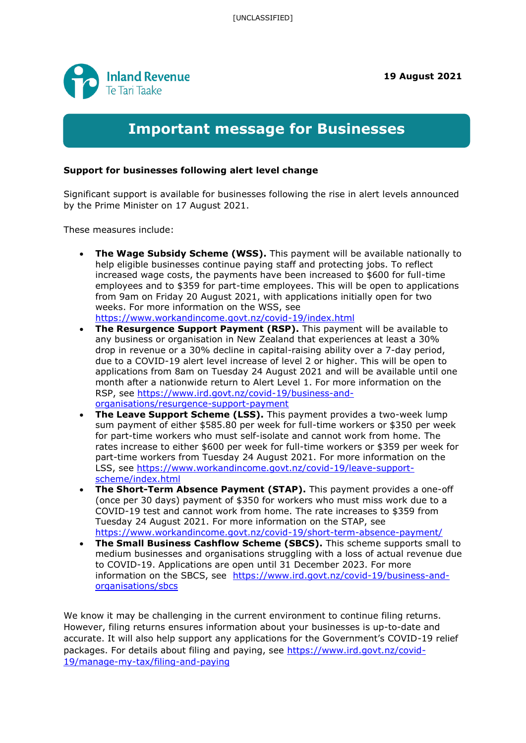

## **Important message for Businesses**

## **Support for businesses following alert level change**

Significant support is available for businesses following the rise in alert levels announced by the Prime Minister on 17 August 2021.

These measures include:

- **The Wage Subsidy Scheme (WSS).** This payment will be available nationally to help eligible businesses continue paying staff and protecting jobs. To reflect increased wage costs, the payments have been increased to \$600 for full-time employees and to \$359 for part-time employees. This will be open to applications from 9am on Friday 20 August 2021, with applications initially open for two weeks. For more information on the WSS, see <https://www.workandincome.govt.nz/covid-19/index.html>
- **The Resurgence Support Payment (RSP).** This payment will be available to any business or organisation in New Zealand that experiences at least a 30% drop in revenue or a 30% decline in capital-raising ability over a 7-day period, due to a COVID-19 alert level increase of level 2 or higher. This will be open to applications from 8am on Tuesday 24 August 2021 and will be available until one month after a nationwide return to Alert Level 1. For more information on the RSP, see [https://www.ird.govt.nz/covid-19/business-and](https://www.ird.govt.nz/covid-19/business-and-organisations/resurgence-support-payment)[organisations/resurgence-support-payment](https://www.ird.govt.nz/covid-19/business-and-organisations/resurgence-support-payment)
- **The Leave Support Scheme (LSS).** This payment provides a two-week lump sum payment of either \$585.80 per week for full-time workers or \$350 per week for part-time workers who must self-isolate and cannot work from home. The rates increase to either \$600 per week for full-time workers or \$359 per week for part-time workers from Tuesday 24 August 2021. For more information on the LSS, see [https://www.workandincome.govt.nz/covid-19/leave-support](https://www.workandincome.govt.nz/covid-19/leave-support-scheme/index.html)[scheme/index.html](https://www.workandincome.govt.nz/covid-19/leave-support-scheme/index.html)
- **The Short-Term Absence Payment (STAP).** This payment provides a one-off (once per 30 days) payment of \$350 for workers who must miss work due to a COVID-19 test and cannot work from home. The rate increases to \$359 from Tuesday 24 August 2021. For more information on the STAP, see <https://www.workandincome.govt.nz/covid-19/short-term-absence-payment/>
- **The Small Business Cashflow Scheme (SBCS).** This scheme supports small to medium businesses and organisations struggling with a loss of actual revenue due to COVID-19. Applications are open until 31 December 2023. For more information on the SBCS, see [https://www.ird.govt.nz/covid-19/business-and](https://www.ird.govt.nz/covid-19/business-and-organisations/sbcs)[organisations/sbcs](https://www.ird.govt.nz/covid-19/business-and-organisations/sbcs)

We know it may be challenging in the current environment to continue filing returns. However, filing returns ensures information about your businesses is up-to-date and accurate. It will also help support any applications for the Government's COVID-19 relief packages. For details about filing and paying, see [https://www.ird.govt.nz/covid-](https://www.ird.govt.nz/covid-19/manage-my-tax/filing-and-paying)[19/manage-my-tax/filing-and-paying](https://www.ird.govt.nz/covid-19/manage-my-tax/filing-and-paying)